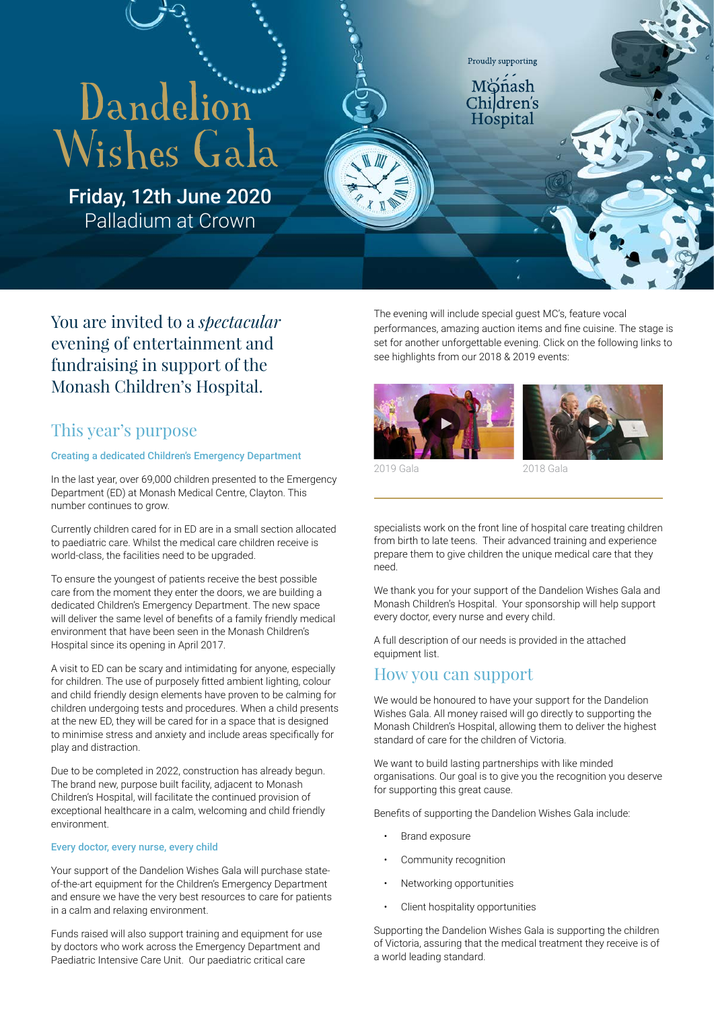# Dandelion Wishes Gala

Friday, 12th June 2020 Palladium at Crown

You are invited to a *spectacular* evening of entertainment and fundraising in support of the Monash Children's Hospital.

# This year's purpose

## Creating a dedicated Children's Emergency Department

In the last year, over 69,000 children presented to the Emergency Department (ED) at Monash Medical Centre, Clayton. This number continues to grow.

Currently children cared for in ED are in a small section allocated to paediatric care. Whilst the medical care children receive is world-class, the facilities need to be upgraded.

To ensure the youngest of patients receive the best possible care from the moment they enter the doors, we are building a dedicated Children's Emergency Department. The new space will deliver the same level of benefits of a family friendly medical environment that have been seen in the Monash Children's Hospital since its opening in April 2017.

A visit to ED can be scary and intimidating for anyone, especially for children. The use of purposely fitted ambient lighting, colour and child friendly design elements have proven to be calming for children undergoing tests and procedures. When a child presents at the new ED, they will be cared for in a space that is designed to minimise stress and anxiety and include areas specifically for play and distraction.

Due to be completed in 2022, construction has already begun. The brand new, purpose built facility, adjacent to Monash Children's Hospital, will facilitate the continued provision of exceptional healthcare in a calm, welcoming and child friendly environment.

#### Every doctor, every nurse, every child

Your support of the Dandelion Wishes Gala will purchase stateof-the-art equipment for the Children's Emergency Department and ensure we have the very best resources to care for patients in a calm and relaxing environment.

Funds raised will also support training and equipment for use by doctors who work across the Emergency Department and Paediatric Intensive Care Unit. Our paediatric critical care

The evening will include special guest MC's, feature vocal performances, amazing auction items and fine cuisine. The stage is set for another unforgettable evening. Click on the following links to see highlights from our 2018 & 2019 events:

Proudly supporting

ñash Children's Hospital





2018 Gala

specialists work on the front line of hospital care treating children from birth to late teens. Their advanced training and experience prepare them to give children the unique medical care that they need.

We thank you for your support of the Dandelion Wishes Gala and Monash Children's Hospital. Your sponsorship will help support every doctor, every nurse and every child.

A full description of our needs is provided in the attached equipment list.

## How you can support

We would be honoured to have your support for the Dandelion Wishes Gala. All money raised will go directly to supporting the Monash Children's Hospital, allowing them to deliver the highest standard of care for the children of Victoria.

We want to build lasting partnerships with like minded organisations. Our goal is to give you the recognition you deserve for supporting this great cause.

Benefits of supporting the Dandelion Wishes Gala include:

- Brand exposure
- Community recognition
- Networking opportunities
- Client hospitality opportunities

Supporting the Dandelion Wishes Gala is supporting the children of Victoria, assuring that the medical treatment they receive is of a world leading standard.